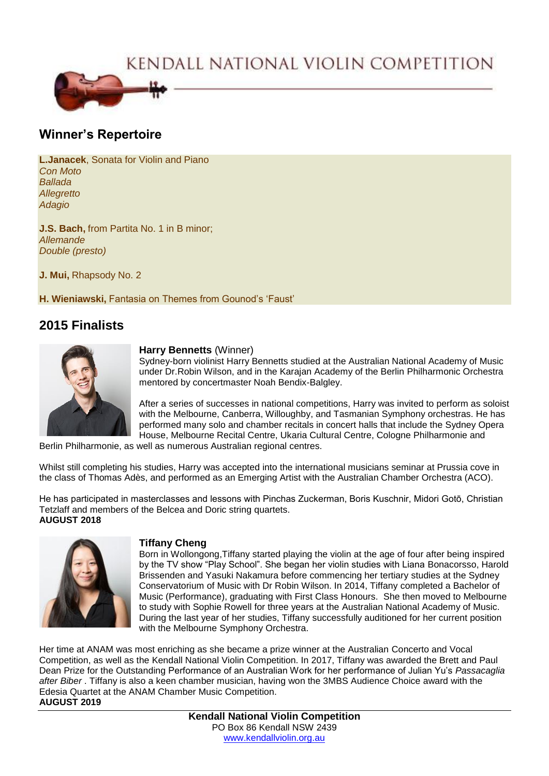KENDALL NATIONAL VIOLIN COMPETITION



# **Winner's Repertoire**

**L.Janacek**, Sonata for Violin and Piano *Con Moto Ballada Allegretto Adagio*

**J.S. Bach, from Partita No. 1 in B minor;** *Allemande Double (presto)*

**J. Mui,** Rhapsody No. 2

**H. Wieniawski,** Fantasia on Themes from Gounod's 'Faust'

# **2015 Finalists**



### **Harry Bennetts** (Winner)

Sydney-born violinist Harry Bennetts studied at the Australian National Academy of Music under Dr.Robin Wilson, and in the Karajan Academy of the Berlin Philharmonic Orchestra mentored by concertmaster Noah Bendix-Balgley.

After a series of successes in national competitions, Harry was invited to perform as soloist with the Melbourne, Canberra, Willoughby, and Tasmanian Symphony orchestras. He has performed many solo and chamber recitals in concert halls that include the Sydney Opera House, Melbourne Recital Centre, Ukaria Cultural Centre, Cologne Philharmonie and

Berlin Philharmonie, as well as numerous Australian regional centres.

Whilst still completing his studies, Harry was accepted into the international musicians seminar at Prussia cove in the class of Thomas Adès, and performed as an Emerging Artist with the Australian Chamber Orchestra (ACO).

He has participated in masterclasses and lessons with Pinchas Zuckerman, Boris Kuschnir, Midori Gotō, Christian Tetzlaff and members of the Belcea and Doric string quartets. **AUGUST 2018**



### **Tiffany Cheng**

Born in Wollongong,Tiffany started playing the violin at the age of four after being inspired by the TV show "Play School". She began her violin studies with Liana Bonacorsso, Harold Brissenden and Yasuki Nakamura before commencing her tertiary studies at the Sydney Conservatorium of Music with Dr Robin Wilson. In 2014, Tiffany completed a Bachelor of Music (Performance), graduating with First Class Honours. She then moved to Melbourne to study with Sophie Rowell for three years at the Australian National Academy of Music. During the last year of her studies, Tiffany successfully auditioned for her current position with the Melbourne Symphony Orchestra.

Her time at ANAM was most enriching as she became a prize winner at the Australian Concerto and Vocal Competition, as well as the Kendall National Violin Competition. In 2017, Tiffany was awarded the Brett and Paul Dean Prize for the Outstanding Performance of an Australian Work for her performance of Julian Yu's *Passacaglia after Biber* . Tiffany is also a keen chamber musician, having won the 3MBS Audience Choice award with the Edesia Quartet at the ANAM Chamber Music Competition. **AUGUST 2019**